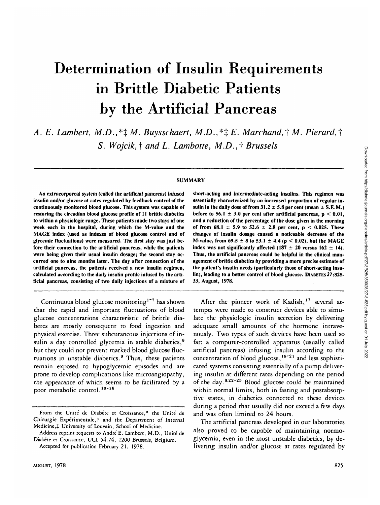# Determination of Insulin Requirements in Brittle Diabetic Patients by the Artificial Pancreas

A. E. Lambert, M.D.,  $*\ddagger M$ . Buysschaert, M.D.,  $*\ddagger E$ . Marchand,  $\dagger M$ . Pierard,  $\dagger$ *S. Wojcik,<sup>†</sup> and L. Lambotte, M.D.,<sup>†</sup> Brussels* 

# **SUMMARY**

**An extracorporeal system (called the artificial pancreas) infused insulin and/or glucose at rates regulated by feedback control of the continuously monitored blood glucose. This system was capable of restoring the circadian blood glucose profile of 11 brittle diabetics to within a physiologic range. These patients made two stays of one week each in the hospital, during which the M-value and the MAGE index (used as indexes of blood glucose control and of glycemic fluctuations) were measured. The first stay was just before their connection to the artificial pancreas, while the patients were being given their usual insulin dosage; the second stay occurred one to nine months later. The day after connection of the artificial pancreas, the patients received a new insulin regimen, calculated according to the daily insulin profile infused by the artificial pancreas, consisting of two daily injections of a mixture of**

Continuous blood glucose monitoring<sup>1-7</sup> has shown that the rapid and important fluctuations of blood glucose concentrations characteristic of brittle diabetes are mostly consequent to food ingestion and physical exercise. Three subcutaneous injections of insulin a day controlled glycemia in stable diabetics,<sup>8</sup> but they could not prevent marked blood glucose fluctuations in unstable diabetics.<sup>9</sup> Thus, these patients remain exposed to hypoglycemic episodes and are prone to develop complications like microangiopathy, the appearance of which seems to be facilitated by a poor metabolic control.<sup>10-16</sup>

**short-acting and intermediate-acting insulins. This regimen was essentially characterized by an increased proportion of regular in**sulin in the daily dose of from  $31.2 \pm 5.8$  per cent (mean  $\pm$  S.E.M.) **before to 56.1**  $\pm$  3.0 per cent after artificial pancreas,  $p < 0.01$ , **and a reduction of the percentage of the dose given in the morning** of from  $68.1 \pm 5.9$  to  $52.6 \pm 2.8$  per cent,  $p < 0.025$ . These **changes of insulin dosage caused a noticeable decrease of the M-value, from 69.5**  $\pm$  **8 to 53.1**  $\pm$  **4.4 (p < 0.02), but the MAGE index was not significantly affected (187**  $\pm$  **20 versus 162**  $\pm$  **14). Thus, the artificial pancreas could be helpful in the clinical management of brittle diabetics by providing a more precise estimate of the patient's insulin needs (particularly those of short-acting insulin), leading to a better control of blood glucose. DIABETES***27:***825- 33, August, 1978.**

After the pioneer work of Kadish,<sup>17</sup> several attempts were made to construct devices able to simulate the physiologic insulin secretion by delivering adequate small amounts of the hormone intravenously. Two types of such devices have been used so far: a computer-controlled apparatus (usually called artificial pancreas) infusing insulin according to the concentration of blood glucose,  $18-21$  and less sophisticated systems consisting essentially of a pump delivering insulin at different rates depending on the period of the day.  $8.22 - 25$  Blood glucose could be maintained within normal limits, both in fasting and postabsorptive states, in diabetics connected to these devices during a period that usually did not exceed a few days and was often limited to 24 hours.

The artificial pancreas developed in our laboratories also proved to be capable of maintaining normoglycemia, even in the most unstable diabetics, by delivering insulin and/or glucose at rates regulated by

**From the Unite de Diabete et Croissance,\* the Unite de** Chirurgie Expérimentale,<sup>†</sup> and the Department of Internal **Medicine,***%* **University of Louvain, School of Medicine.**

**Address reprint requests to Andre E. Lambert, M.D., Unite de Diabete et Croissance, UCL 54.74, 1200 Brussels, Belgium.**

**Accepted for publication February 21, 1978.**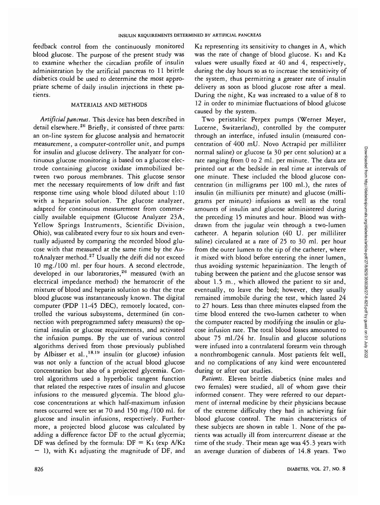feedback control from the continuously monitored blood glucose. The purpose of the present study was to examine whether the circadian profile of insulin administration by the artificial pancreas to 11 brittle diabetics could be used to determine the most appropriate scheme of daily insulin injections in these patients.

# MATERIALS AND METHODS

*Artificial pancreas.* This device has been described in detail elsewhere.<sup>26</sup> Briefly, it consisted of three parts: an on-line system for glucose analysis and hematocrit measurement, a computer-controller unit, and pumps for insulin and glucose delivery. The analyzer for continuous glucose monitoring is based on a glucose electrode containing glucose oxidase immobilized between two porous membranes. This glucose sensor met the necessary requirements of low drift and fast response time using whole blood diluted about 1:10 with a heparin solution. The glucose analyzer, adapted for continuous measurement from commercially available equipment (Glucose Analyzer 23A, Yellow Springs Instruments, Scientific Division, Ohio), was calibrated every four to six hours and eventually adjusted by comparing the recorded blood glucose with that measured at the same time by the AutoAnalyzer method. $^{27}$  Usually the drift did not exceed 10 mg./lOO ml. per four hours. A second electrode, developed in our laboratories,<sup>26</sup> measured (with an electrical impedance method) the hematocrit of the mixture of blood and heparin solution so that the true blood glucose was instantaneously known. The digital computer (PDP 11-45 DEC), remotely located, controlled the various subsystems, determined (in connection with preprogrammed safety measures) the optimal insulin or glucose requirements, and activated the infusion pumps. By the use of various control algorithms derived from those previously published by Albisser et al.,  $18.19$  insulin (or glucose) infusion was not only a function of the actual blood glucose concentration but also of a projected glycemia. Control algorithms used a hyperbolic tangent function that related the respective rates of insulin and glucose infusions to the measured glycemia. The blood glucose concentrations at which half-maximum infusion rates occurred were set at 70 and 150 mg./lOO ml. for glucose and insulin infusions, respectively. Furthermore, a projected blood glucose was calculated by adding a difference factor DF to the actual glycemia; DF was defined by the formula:  $DF = K_1$  (exp  $A/K_2$ )  $-$  1), with K<sub>1</sub> adjusting the magnitude of DF, and

K2 representing its sensitivity to changes in A, which was the rate of change of blood glucose.  $K_1$  and  $K_2$ values were usually fixed at 40 and 4, respectively, during the day hours so as to increase the sensitivity of the system, thus permitting a greater rate of insulin delivery as soon as blood glucose rose after a meal. During the night,  $K_2$  was increased to a value of 8 to 12 in order to minimize fluctuations of blood glucose caused by the system.

Two peristaltic Perpex pumps (Werner Meyer, Lucerne, Switzerland), controlled by the computer through an interface, infused insulin (measured concentration of 400 mU. Novo Actrapid per milliliter normal saline) or glucose (a 30 per cent solution) at a rate ranging from 0 to 2 ml. per minute. The data are printed out at the bedside in real time at intervals of one minute. These included the blood glucose concentration (in milligrams per 100 ml.), the rates of insulin (in milliunits per minute) and glucose (milligrams per minute) infusions as well as the total amounts of insulin and glucose administered during the preceding 15 minutes and hour. Blood was withdrawn from the jugular vein through a two-lumen catheter. A heparin solution (40 U. per milliliter saline) circulated at a rate of 25 to 30 ml. per hour from the outer lumen to the tip of the catheter, where it mixed with blood before entering the inner lumen, thus avoiding systemic heparinization. The length of tubing between the patient and the glucose sensor was about 1.5 m., which allowed the patient to sit and, eventually, to leave the bed; however, they usually remained immobile during the test, which lasted 24 to 27 hours. Less than three minutes elapsed from the time blood entered the two-lumen catheter to when the computer reacted by modifying the insulin or glucose infusion rate. The total blood losses amounted to about 75 ml./24 hr. Insulin and glucose solutions were infused into a contralateral forearm vein through a nonthrombogenic cannula. Most patients felt well, and no complications of any kind were encountered during or after our studies.

*Patients.* Eleven brittle diabetics (nine males and two females) were studied, all of whom gave their informed consent. They were referred to our department of internal medicine by their physicians because of the extreme difficulty they had in achieving fair blood glucose control. The main characteristics of these subjects are shown in table 1. None of the patients was actually ill from intercurrent disease at the time of the study. Their mean age was 45.3 years with an average duration of diabetes of 14.8 years. Two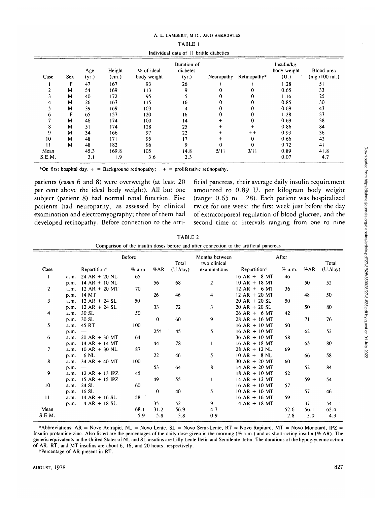| Individual data of 11 brittle diabetics |     |              |                 |                           |                                  |            |              |                                    |                             |
|-----------------------------------------|-----|--------------|-----------------|---------------------------|----------------------------------|------------|--------------|------------------------------------|-----------------------------|
| Case                                    | Sex | Age<br>(yr.) | Height<br>(cm.) | % of ideal<br>body weight | Duration of<br>diabetes<br>(yr.) | Neuropathy | Retinopathy* | Insulin/kg.<br>body weight<br>(U.) | Blood urea<br>(mg./100 ml.) |
|                                         | F   | 47           | 167             | 93                        | 26                               | $\div$     | $\ddot{}$    | 1.28                               | 51                          |
|                                         | М   | 54           | 169             | 113                       | 9                                | 0          | 0            | 0.65                               | 33                          |
|                                         | М   | 40           | 172             | 95                        |                                  |            | 0            | 1.16                               | 25                          |
|                                         | M   | 26           | 167             | 115                       | 16                               | 0          | 0            | 0.85                               | 30                          |
|                                         | M   | 39           | 169             | 103                       | 4                                |            |              | 0.69                               | 43                          |
|                                         | F   | 65           | 157             | 120                       | 16                               |            |              | 1.28                               | 37                          |
|                                         | М   | 46           | 174             | 100                       | 4                                |            | $\Omega$     | 0.69                               | 38                          |
|                                         | М   | 51           | 174             | 128                       | 25                               |            |              | 0.86                               | 84                          |
| 9                                       | M   | 34           | 166             | 97                        | 22                               | $\ddot{}$  | $+ +$        | 0.93                               | 36                          |
| 10                                      | М   | 48           | 171             | 95                        | 17                               | $\ddot{}$  | 0            | 0.66                               | 42                          |
| п                                       | M   | 48           | 182             | 96                        | 9                                | $\Omega$   | $\Omega$     | 0.72                               | 41                          |
| Mean                                    |     | 45.3         | 169.8           | 105                       | 14.8                             | 5/11       | 3/11         | 0.89                               | 41.8                        |
| S.E.M.                                  |     | 3.1          | 1.9             | 3.6                       | 2.3                              |            |              | 0.07                               | 4.7                         |

| TABLE 1                                 |  |  |  |  |  |  |
|-----------------------------------------|--|--|--|--|--|--|
| Individual data of 11 brittle diabetics |  |  |  |  |  |  |

\*On first hospital day.  $+$  = Background retinopathy;  $++$  = proliferative retinopathy.

patients (cases 6 and 8) were overweight (at least 20 per cent above the ideal body weight). All but one subject (patient 8) had normal renal function. Five patients had neuropathy, as assessed by clinical examination and electromyography; three of them had developed retinopathy. Before connection to the arti-

ficial pancreas, their average daily insulin requirement amounted to 0.89 U. per kilogram body weight (range: 0.65 to 1.28). Each patient was hospitalized twice for one week: the first week just before the day of extracorporeal regulation of blood glucose, and the second time at intervals ranging from one to nine

| TABLE 2                                                                                |  |  |  |  |  |  |  |  |
|----------------------------------------------------------------------------------------|--|--|--|--|--|--|--|--|
| Comparison of the insulin doses before and after connection to the artificial pancreas |  |  |  |  |  |  |  |  |

|                 | <b>Before</b> |                  |        | Total          | Months between<br>two clinical | After                   |                 |        | Total |                  |
|-----------------|---------------|------------------|--------|----------------|--------------------------------|-------------------------|-----------------|--------|-------|------------------|
| Case            |               | Repartition*     | % a.m. | %AR            | (U./day)                       | examinations            | Repartition*    | % a.m. | %AR   | (U. <i>day</i> ) |
| 1               | a.m.          | $24 AR + 20 NL$  | 65     |                |                                |                         | $16 AR + 8 MT$  | 46     |       |                  |
|                 | p.m.          | $14 AR + 10 NL$  |        | 56             | 68                             | $\overline{2}$          | $10 AR + 18 MT$ |        | 50    | 52               |
| $\overline{2}$  | a.m.          | $12 AR + 20 MT$  | 70     |                |                                |                         | $12 AR + 6 MT$  | 36     |       |                  |
|                 | p.m.          | 14 MT            |        | 26             | 46                             | $\overline{\mathbf{4}}$ | $12 AR + 20 MT$ |        | 48    | 50               |
| 3               | a.m.          | $12 AR + 24 SL$  | 50     |                |                                |                         | $20 AR + 20 SL$ | 50     |       |                  |
|                 | p.m.          | $12 AR + 24 SL$  |        | 33             | 72                             | 3                       | $20 AR + 20 SL$ |        | 50    | 80               |
| 4               | a.m.          | 30 SL            | 50     |                |                                |                         | $26 AR + 6 MT$  | 42     |       |                  |
|                 | p.m.          | 30 SL            |        | $\overline{0}$ | 60                             | 9                       | $28 AR + 16 MT$ |        | 71    | 76               |
| 5               | a.m.          | 45 RT            | 100    |                |                                |                         | $16 AR + 10 MT$ | 50     |       |                  |
|                 | p.m.          |                  |        | $25+$          | 45                             | 5                       | $16 AR + 10 MT$ |        | 62    | 52               |
| 6               | a.m.          | $20 AR + 30 MT$  | 64     |                |                                |                         | $36$ AR + 10 MT | 58     |       |                  |
|                 | p.m.          | $14 AR + 14 MT$  |        | 44             | 78                             | $\mathbf{I}$            | $16 AR + 18 MT$ |        | 65    | 80               |
| 7               | a.m.          | $10 AR + 30 NL$  | 87     |                |                                |                         | $28 AR + 12 NL$ | 69     |       |                  |
|                 | p.m.          | 6 NL             |        | 22             | 46                             | 5                       | $10 AR + 8 NL$  |        | 66    | 58               |
| 8               | a.m.          | $34 AR + 40 MT$  | 100    |                |                                |                         | $30 AR + 20 MT$ | 60     |       |                  |
|                 | p.m.          |                  |        | 53             | 64                             | 8                       | $14 AR + 20 MT$ |        | 52    | 84               |
| 9               | a.m.          | $12 AR + 13 IPZ$ | 45     |                |                                |                         | $18 AR + 10 MT$ | 52     |       |                  |
|                 | p.m.          | $15 AR + 15 IPZ$ |        | 49             | 55                             | $\mathbf{I}$            | $14 AR + 12 MT$ |        | 59    | 54               |
| 10 <sup>°</sup> | a.m.          | 24 SL            | 60     |                |                                |                         | $16 AR + 10 MT$ | 57     |       |                  |
|                 | p.m.          | $16$ SL          |        | $\mathbf 0$    | 40                             | 5                       | $10 AR + 10 MT$ |        | 57    | 46               |
| 11              | a.m.          | $14 AR + 16 SL$  | 58     |                |                                |                         | $16 AR + 16 MT$ | 59     |       |                  |
|                 | p.m.          | $4 AR + 18 SL$   |        | 35             | 52                             | 9                       | $4 AR + 18 MT$  |        | 37    | 54               |
| Mean            |               |                  | 68.1   | 31.2           | 56.9                           | 4.7                     |                 | 52.6   | 56.1  | 62.4             |
| S.E.M.          |               |                  | 5.9    | 5.8            | 3.8                            | 0.9                     |                 | 2.8    | 3.0   | 4.3              |

\*Abbreviations: AR = Novo Actrapid, NL = Novo Lente, SL = Novo Semi-Lente, RT = Novo Rapitard, MT = Novo Monotard, IPZ = Insulin protamine-zinc. Also listed are the percentages of the daily dose given in the morning *(7c* a.m.) and as short-acting insulin *(7c* AR). The generic equivalents in the United States of NL and SL insulins are Lilly Lente Iletin and Semilente Iletin. The durations of the hypoglycemic action of AR, RT, and MT insulins are about 6, 16, and 20 hours, respectively.

tPercentage of AR present in RT.

 $\equiv$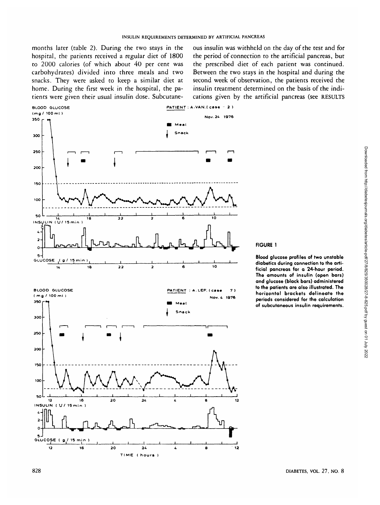months later (table 2). During the two stays in the hospital, the patients received a regular diet of 1800 to 2000 calories (of which about 40 per cent was carbohydrates) divided into three meals and two snacks. They were asked to keep a similar diet at home. During the first week in the hospital, the patients were given their usual insulin dose. Subcutaneous insulin was withheld on the day of the test and for the period of connection to the artificial pancreas, but the prescribed diet of each patient was continued. Between the two stays in the hospital and during the second week of observation, the patients received the insulin treatment determined on the basis of the indications given by the artificial pancreas (see RESULTS



#### **FIGURE 1**

**Blood glucose profiles of two unstable diabetics during connection to the artificial pancreas for a 24-hour period. The amounts of insulin (open bars) and glucose (black bars) administered to the patients are also illustrated. The horizontal brackets delineate the periods considered for the calculation of subcutaneous insulin requirements.**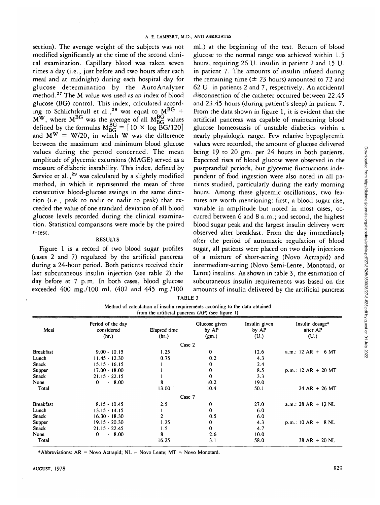section). The average weight of the subjects was not modified significantly at the time of the second clinical examination. Capillary blood was taken seven times a day (i.e., just before and two hours after each meal and at midnight) during each hospital day for glucose determination by the AutoAnalyzer method.<sup>27</sup> The M value was used as an index of blood glucose (BG) control. This index, calculated according to Schlichtkrull et al.,<sup>28</sup> was equal to  $M<sup>BG</sup>$  +  $M^W$ , where  $M^{BG}$  was the average of all  $M_{BC}^{BG}$  values defined by the formulas  $M_{BC}^{BG} = [10 \times \log BG/120]$ and  $M^{W} = W/20$ , in which W was the difference between the maximum and minimum blood glucose values during the period concerned. The mean amplitude of glycemic excursions (MAGE) served as a measure of diabetic instability. This index, defined by Service et al.,<sup>29</sup> was calculated by a slightly modified method, in which it represented the mean of three consecutive blood-glucose swings in the same direction (i.e., peak to nadir or nadir to peak) that exceeded the value of one standard deviation of all blood glucose levels recorded during the clinical examination. Statistical comparisons were made by the paired /-test.

#### RESULTS

Figure 1 is a record of two blood sugar profiles (cases 2 and 7) regulated by the artificial pancreas during a 24-hour period. Both patients received their last subcutaneous insulin injection (see table 2) the day before at 7 p.m. In both cases, blood glucose exceeded 400 mg./lOO ml. (402 and 445 mg./lOO

ml.) at the beginning of the test. Return of blood glucose to the normal range was achieved within 1.5 hours, requiring 26 U. insulin in patient 2 and 15 U. in patient 7. The amounts of insulin infused during the remaining time ( $\pm 23$  hours) amounted to 72 and 62 U. in patients 2 and 7, respectively. An accidental disconnection of the catheter occurred between 22.45 and 23.45 hours (during patient's sleep) in patient 7. From the data shown in figure 1, it is evident that the artificial pancreas was capable of maintaining blood glucose homeostasis of unstable diabetics within a nearly physiologic range. Few relative hypoglycemic values were recorded, the amount of glucose delivered being 19 to 20 gm. per 24 hours in both patients. Expected rises of blood glucose were observed in the postprandial periods, but glycemic fluctuations independent of food ingestion were also noted in all patients studied, particularly during the early morning hours. Among these glycemic oscillations, two features are worth mentioning: first, a blood sugar rise, variable in amplitude but noted in most cases, occurred between 6 and 8 a.m.; and second, the highest blood sugar peak and the largest insulin delivery were observed after breakfast. From the day immediately after the period of automatic regulation of blood sugar, all patients were placed on two daily injections of a mixture of short-acting (Novo Actrapid) and intermediate-acting (Novo Semi-Lente, Monotard, or Lente) insulins. As shown in table 3, the estimation of subcutaneous insulin requirements was based on the amounts of insulin delivered by the artificial pancreas

TABLE 3

| Method of calculation of insulin requirements according to the data obtained |  |
|------------------------------------------------------------------------------|--|
| from the artificial pancreas $(AP)$ (see figure 1)                           |  |
|                                                                              |  |

|                  |                                          |                       | panetens (,  ) ( <u></u> )      |                                |                                     |
|------------------|------------------------------------------|-----------------------|---------------------------------|--------------------------------|-------------------------------------|
| Meal             | Period of the day<br>considered<br>(hr.) | Elapsed time<br>(hr.) | Glucose given<br>by AP<br>(gm.) | Insulin given<br>by AP<br>(U.) | Insulin dosage*<br>after AP<br>(U.) |
|                  |                                          |                       | Case 2                          |                                |                                     |
|                  |                                          |                       |                                 |                                |                                     |
| <b>Breakfast</b> | $9.00 - 10.15$                           | 1.25                  | $\bf{0}$                        | 12.6                           | a.m.: $12 AR + 6 MT$                |
| Lunch            | $11.45 - 12.30$                          | 0.75                  | 0.2                             | 4.3                            |                                     |
| Snack            | $15.15 - 16.15$                          |                       | 0                               | 2.4                            |                                     |
| Supper           | $17.00 - 18.00$                          |                       | 0                               | 8.5                            | $p.m.: 12 AR + 20 MT$               |
| Snack            | $21.15 - 22.15$                          |                       | 0                               | 3.3                            |                                     |
| None             | $-8.00$<br>$\bf{0}$                      | 8                     | 10.2                            | 19.0                           |                                     |
| Total            |                                          | 13.00                 | 10.4                            | 50.1                           | $24 AR + 26 MT$                     |
|                  |                                          |                       | Case 7                          |                                |                                     |
| <b>Breakfast</b> | $8.15 - 10.45$                           | 2.5                   | 0                               | 27.0                           | $a.m.: 28 AR + 12 NL$               |
| Lunch            | $13.15 - 14.15$                          |                       | 0                               | 6.0                            |                                     |
| Snack            | $16.30 - 18.30$                          |                       | 0.5                             | 6.0                            |                                     |
| Supper           | $19.15 - 20.30$                          | 1.25                  | 0                               | 4.3                            | $p.m.: 10 AR + 8 NL$                |
| Snack            | $21.15 - 22.45$                          | 1.5                   | 0                               | 4.7                            |                                     |
| None             | $-8.00$<br>$\mathbf 0$                   | 8                     | 2.6                             | 10.0                           |                                     |
| Total            |                                          | 16.25                 | 3.1                             | 58.0                           | $38 AR + 20 NL$                     |

\* Abbreviations:  $AR = Novo$  Actrapid;  $NL = Novo$  Lente;  $MT = Novo$  Monotard.

Downloaded from http://diabetesjournals.org/diabetes/article-pdf/27/8/825/350028/27-8-825.pdf by guest on 01 July 2022 Downloaded from http://diabetesjournals.org/diabetes/article-pdf/27/8/825/350028/27-8-825.pdf by guest on 01 July 2022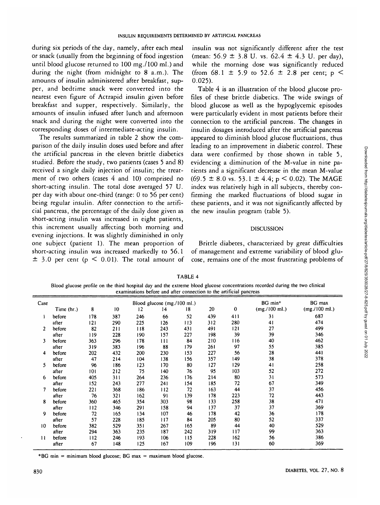during six periods of the day, namely, after each meal or snack (usually from the beginning of food ingestion until blood glucose returned to 100 mg./lOO ml.) and during the night (from midnight to 8 a.m.). The amounts of insulin administered after breakfast, supper, and bedtime snack were converted into the nearest even figure of Actrapid insulin given before breakfast and supper, respectively. Similarly, the amounts of insulin infused after lunch and afternoon snack and during the night were converted into the corresponding doses of intermediate-acting insulin.

The results summarized in table 2 show the comparison of the daily insulin doses used before and after the artificial pancreas in the eleven brittle diabetics studied. Before the study, two patients (cases 5 and 8) received a single daily injection of insulin; the treatment of two others (cases 4 and 10) comprised no short-acting insulin. The total dose averaged 57 U. per day with about one-third (range: 0 to 56 per cent) being regular insulin. After connection to the artificial pancreas, the percentage of the daily dose given as short-acting insulin was increased in eight patients, this increment usually affecting both morning and evening injections. It was slightly diminished in only one subject (patient 1). The mean proportion of short-acting insulin was increased markedly to 56.1  $\pm$  3.0 per cent (p < 0.01). The total amount of

insulin was not significantly different after the test (mean: 56.9 ± 3-8 U. vs. 62.4 *±* 4.3 U. per day), while the morning dose was significantly reduced (from 68.1  $\pm$  5.9 to 52.6  $\pm$  2.8 per cent; p < 0.025).

Table 4 is an illustration of the blood glucose profiles of these brittle diabetics. The wide swings of blood glucose as well as the hypoglycemic episodes were particularly evident in most patients before their connection to the artificial pancreas. The changes in insulin dosages introduced after the artificial pancreas appeared to diminish blood glucose fluctuations, thus leading to an improvement in diabetic control. These data were confirmed by those shown in table 5, evidencing a diminution of the M-value in nine patients and a significant decrease in the mean M-value  $(69.5 \pm 8.0 \text{ vs. } 53.1 \pm 4.4; \text{ p} \le 0.02)$ . The MAGE index was relatively high in all subjects, thereby confirming the marked fluctuations of blood sugar in these patients, and it was not significantly affected by the new insulin program (table 5).

## DISCUSSION

Brittle diabetes, characterized by great difficulties of management and extreme variability of blood glucose, remains one of the most frustrating problems of

|                | examinations before and after connection to the artificial pancreas |     |     |                             |         |        |     |          |                 |               |
|----------------|---------------------------------------------------------------------|-----|-----|-----------------------------|---------|--------|-----|----------|-----------------|---------------|
| Case           |                                                                     |     |     | Blood glucose (mg./100 ml.) | BG min* | BG max |     |          |                 |               |
|                | Time (hr.)                                                          | 8   | 10  | 12                          | 14      | 18     | 20  | $\bf{0}$ | (mg. / 100 ml.) | (mg./100 ml.) |
|                | before                                                              | 178 | 387 | 246                         | 66      | 52     | 439 | 411      | 31              | 687           |
|                | after                                                               | 121 | 290 | 225                         | 126     | 113    | 312 | 280      | 41              | 474           |
| $\overline{2}$ | before                                                              | 82  | 211 | 118                         | 243     | 431    | 491 | 121      | 27              | 499           |
|                | after                                                               | 119 | 228 | 190                         | 157     | 227    | 198 | 39       | 39              | 346           |
| 3              | before                                                              | 363 | 296 | 178                         | 111     | 84     | 210 | 116      | 40              | 462           |
|                | after                                                               | 319 | 383 | 196                         | 88      | 179    | 261 | 97       | 55              | 385           |
| 4              | before                                                              | 202 | 432 | 200                         | 230     | 153    | 227 | 56       | 28              | 441           |
|                | after                                                               | 47  | 214 | 104                         | 138     | 156    | 357 | 149      | 38              | 378           |
| 5              | before                                                              | 96  | 186 | 123                         | 170     | 80     | 127 | 129      | 41              | 258           |
|                | after                                                               | 101 | 212 | 75                          | 140     | 76     | 95  | 103      | 52              | 272           |
| 6              | before                                                              | 405 | 311 | 264                         | 236     | 176    | 214 | 80       | 31              | 573           |
|                | after                                                               | 152 | 243 | 277                         | 241     | 154    | 185 | 72       | 67              | 349           |
|                | before                                                              | 221 | 368 | 186                         | 112     | 72     | 163 | 44       | 37              | 456           |
|                | after                                                               | 76  | 321 | 162                         | 91      | 139    | 178 | 223      | 72              | 443           |
| 8              | before                                                              | 360 | 465 | 354                         | 303     | 98     | 133 | 258      | 38              | 471           |
|                | after                                                               | 112 | 346 | 291                         | 158     | 94     | 137 | 37       | 37              | 369           |
| 9              | before                                                              | 72  | 165 | 134                         | 107     | 46     | 178 | 42       | 36              | 178           |

TABLE 4

Blood glucose profile on the third hospital day and the extreme blood glucose concentrations recorded during the two clinical examinations before and after connection to the artificial pancreas

\*BG min = minimum blood glucose; BG max = maximum blood glucose.

 **II**

ă

**after before after before after**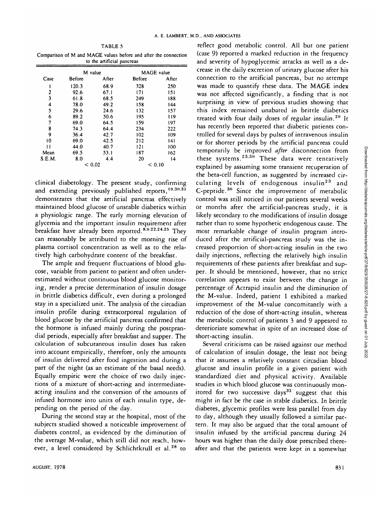TABLE 5

Comparison of M and MAGE values before and after the connection to the artificial pancreas L

|        | M value |        | <b>MAGE</b> value |       |  |  |  |  |  |
|--------|---------|--------|-------------------|-------|--|--|--|--|--|
| Case   | Before  | After  | <b>Before</b>     | After |  |  |  |  |  |
|        | 120.3   | 68.9   | 328               | 250   |  |  |  |  |  |
| 2      | 92.6    | 67.1   | 171               | 151   |  |  |  |  |  |
| 3      | 61.8    | 68.5   | 249               | 188   |  |  |  |  |  |
| 4      | 78.0    | 49.2   | 158               | 144   |  |  |  |  |  |
| 5      | 29.6    | 24.6   | 132               | 157   |  |  |  |  |  |
| 6      | 89.2    | 50.6   | 195               | 119   |  |  |  |  |  |
| 7      | 69.0    | 64.5   | 159               | 197   |  |  |  |  |  |
| 8      | 74.3    | 64.4   | 234               | 222   |  |  |  |  |  |
| 9      | 36.4    | 42.7   | 102               | 109   |  |  |  |  |  |
| 10     | 69.0    | 42.5   | 212               | 141   |  |  |  |  |  |
| 11     | 44.0    | 40.7   | 121               | 100   |  |  |  |  |  |
| Mean   | 69.5    | 53.1   | 187               | 162   |  |  |  |  |  |
| S.E.M. | 8.0     | 4.4    | 20                | 14    |  |  |  |  |  |
|        | < 0.02  | < 0.10 |                   |       |  |  |  |  |  |

clinical diabetology. The present study, confirming and extending previously published reports, 19,30,31 demonstrates that the artificial pancreas effectively maintained blood glucose of unstable diabetics within a physiologic range. The early morning elevation of glycemia and the important insulin requirement after breakfast have already been reported.<sup>8,9,22,24,25</sup> They can reasonably be attributed to the morning rise of plasma cortisol concentration as well as to the relatively high carbohydrate content of the breakfast.

The ample and frequent fluctuations of blood glucose, variable from patient to patient and often underestimated without continuous blood glucose monitoring, render a precise determination of insulin dosage in brittle diabetics difficult, even during a prolonged stay in a specialized unit. The analysis of the circadian insulin profile during extracorporeal regulation of blood glucose by the artificial pancreas confirmed that the hormone is infused mainly during the postprandial periods, especially after breakfast and supper. The calculation of subcutaneous insulin doses has taken into account empirically, therefore, only the amounts of insulin delivered after food ingestion and during a part of the night (as an estimate of the basal needs). Equally empiric were the choice of two daily injections of a mixture of short-acting and intermediateacting insulins and the conversion of the amounts of infused hormone into units of each insulin type, depending on the period of the day.

During the second stay at the hospital, most of the subjects studied showed a noticeable improvement of diabetes control, as evidenced by the diminution of the average M-value, which still did not reach, however, a level considered by Schlichtkrull et al.<sup>28</sup> to

reflect good metabolic control. All but one patient (case 9) reported a marked reduction in the frequency and severity of hypoglycemic attacks as well as a decrease in the daily excretion of urinary glucose after his connection to the artificial pancreas, but no attempt was made to quantify these data. The MAGE index was not affected significantly, a finding that is not surprising in view of previous studies showing that this index remained unabated in brittle diabetics treated with four daily doses of regular insulin.<sup>29</sup> It has recently been reported that diabetic patients controlled for several days by pulses of intravenous insulin or for shorter periods by the artificial pancreas could temporarily be improved *after* disconnection from these systems.<sup>23.30</sup> These data were tentatively explained by assuming some transient recuperation of the beta-cell function, as suggested by increased circulating levels of endogenous insulin<sup>23</sup> and C-peptide.<sup>30</sup> Since the improvement of metabolic control was still noticed in our patients several weeks or months after the artificial-pancreas study, it is likely secondary to the modifications of insulin dosage rather than to some hypothetic endogenous cause. The most remarkable change of insulin program introduced after the artificial-pancreas study was the increased proportion of short-acting insulin in the two daily injections, reflecting the relatively high insulin requirements of these patients after breakfast and supper. It should be mentioned, however, that no strict correlation appears to exist between the change in percentage of Actrapid insulin and the diminution of the M-value. Indeed, patient 1 exhibited a marked improvement of the M-value concomitantly with a reduction of the dose of short-acting insulin, whereas the metabolic control of patients 3 and 9 appeared to deterioriate somewhat in spite of an increased dose of short-acting insulin.

Several criticisms can be raised against our method of calculation of insulin dosage, the least not being that it assumes a relatively constant circadian blood glucose and insulin profile in a given patient with standardized diet and physical activity. Available studies in which blood glucose was continuously monitored for two successive days<sup>32</sup> suggest that this might in fact be the case in stable diabetics. In brittle diabetes, glycemic profiles were less parallel from day to day, although they usually followed a similar pattern. It may also be argued that the total amount of insulin infused by the artificial pancreas during 24 hours was higher than the daily dose prescribed thereafter and that the patients were kept in a somewhat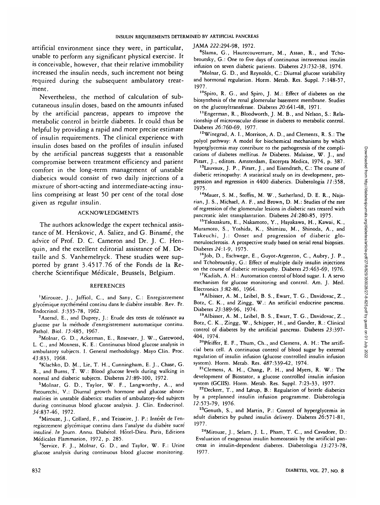artificial environment since they were, in particular, unable to perform any significant physical exercise. It is conceivable, however, that their relative immobility increased the insulin needs, such increment not being required during the subsequent ambulatory treatment.

Nevertheless, the method of calculation of subcutaneous insulin doses, based on the amounts infused by the artificial pancreas, appears to improve the metabolic control in brittle diabetes. It could thus be helpful by providing a rapid and more precise estimate of insulin requirements. The clinical experience with insulin doses based on the profiles of insulin infused by the artificial pancreas suggests that a reasonable compromise between treatment efficiency and patient comfort in the long-term management of unstable diabetics would consist of two daily injections of a mixture of short-acting and intermediate-acting insulins comprising at least 50 per cent of the total dose given as regular insulin.

## ACKNOWLEDGMENTS

The authors acknowledge the expert technical assistance of M. Herskovic, A. Saliez, and G. Biname, the advice of Prof. D. C. Cameron and Dr. J. C. Henquin, and the excellent editorial assistance of M. Detaille and S. Vanhemelryck. These studies were supported by grant 3 4517.76 of the Fonds de la Recherche Scientifique Medicale, Brussels, Belgium.

#### **REFERENCES**

<sup>1</sup>Mirouze, J., Jaffiol, C., and Sany, C.: Enregistrement glycemique nycthemeral continu dans le diabete instable. Rev. Fr. Endocrinol. 3:335-78, 1962.

<sup>2</sup>Azerad, E., and Duprey, J.: Etude des tests de tolérance au glucose par la methode d'enregistrement automatique continu. Pathol. Biol. *15:485,* 1967.

3 Molnar, G. D., Ackerman, E., Rosevaer, J. W., Gatewood, L. C., and Moxness, K. E.: Continuous blood glucose analysis in ambulatory subjects. I. General methodology. Mayo Clin. Proc. 43:833, 1968.

"Klachko, D. M., Lie, T. H., Cunningham, E. J., Chase, G. R., and Burns, T. W.: Blood glucose levels during walking in normal and diabetic subjects. Diabetes 22:89-100, 1972.

5 Molnar, G. D., Taylor, W. F., Langworthy, A., and Fatourechi, V.: Diurnal growth hormone and glucose abnormalities in unstable diabetics: studies of ambulatory-fed subjects during continuous blood glucose analysis. J. Clin. Endocrinol. 34:837-46, 1972.

<sup>6</sup>Mirouze, J., Collard, F., and Teisseire, J. P.: Intérêt de l'enregistrement glycémique continu dans l'analyse du diabète sucré insuline. *In* Journ. Annu. Diabetol. Hôtel-Dieu. Paris, Editions Medicales Flammarion, 1972, p. 285.

<sup>7</sup>Service, F. J., Molnar, G. D., and Taylor, W. F.: Urine glucose analysis during continuous blood glucose monitoring. JAMA 222:294-98, 1972.

8 Slama, G., Hautecouverture, M., Assan, R., and Tchobroutsky, G.: One to five days of continuous intravenous insulin infusion on seven diabetic patients. Diabetes 23:732-38, 1974.

<sup>9</sup>Molnar, G. D., and Reynolds, C.: Diurnal glucose variability and hormonal regulation. Horm. Metab. Res. Suppl. 7:148-57, 1977.

<sup>10</sup>Spiro, R. G., and Spiro, J. M.: Effect of diabetes on the biosynthesis of the renal glomerular basement membrane. Studies on the glucosyltransferase. Diabetes 20:641-48, 1971.

"Engerman, R., Bloodworth, J. M. B., and Nelson, S.: Relationship of microvascular disease in diabetes to metabolic control. Diabetes 26:760-69, 1977.

12Winegrad, A. I., Morrison, A. D., and Clements, R. S.: The polyol pathway: A model for biochemical mechanisms by which hyperglycemia may contribute to the pathogenesis of the complications of diabetes mellitus. *In* Diabetes. Malaisse, W. J., and Pirart, J., editors. Amsterdam, Excerpta Medica, 1974, p. 387.

<sup>13</sup>Lauvaux, J. P., Pirart, J., and Eisendrath, C.: The course of diabetic retinopathy: A statistical study on its development, progression and regression in 4400 diabetics. Diabetologia 11:358, 1975.

14Mauer, S. M., Steffes, M. W., Sutherland, D. E. R., Najarian, J. S., Michael, A. F., and Brown, D. M.: Studies of the rate of regression of the glomerular lesions in diabetic rats treated with pancreatic islet transplantation. Diabetes 24:280-85, 1975.

l5Takazakura, E., Nakamoto, Y., Hayakawa, H., Kawai, K., Muramoto, S., Yoshida, K., Shimizu, M., Shinoda, A., and Takeuchi, J.: Onset and progression of diabetic glomerulosclerosis. A prospective study based on serial renal biopsies. Diabetes 24:1-9, 1975.

<sup>16</sup>Job, D., Eschwege, E., Guyot-Argenton, C., Aubry, J. P., and Tchobroutsky, G.: Effect of multiple daily insulin injections on the course of diabetic retinopathy. Diabetes 25:463-69, 1976.

<sup>17</sup>Kadish, A. H.: Automation control of blood sugar. I. A servo mechanism for glucose monitoring and control. Am. J. Med. Electronics 3:82-86, 1964.

I8Albisser, A. M., Leibel, B. S., Ewart, T. G., Davidovac, Z., Botz, C. K., and Zingg, W.: An artificial endocrine pancreas. Diabetes 23:389-96, 1974.

<sup>19</sup> Albisser, A. M., Leibel, B. S., Ewart, T. G., Davidovac, Z., Botz, C. K., Zingg, W., Schipper, H., and Gander, R.: Clinical control of diabetes by the artificial pancreas. Diabetes 23:397- 404, 1974.

20Pfeiffer, E. F., Thum, Ch., and Clemens, A. H.: The artificial beta cell. A continuous control of blood sugar by external regulation of insulin infusion (glucose controlled insulin infusion system). Horm. Metab. Res. 487:339-42, 1974.

21Clemens, A. H., Chang, P. H., and Myers, R. W.: The development of Biostator, a glucose controlled insulin infusion system (GCIIS). Horm. Metab. Res. Suppl. 7:23-33, 1977.

 $22$ Deckert, T., and Lørup, B.: Regulation of brittle diabetics by a preplanned insulin infusion programme. Diabetologia 22:573-79, 1976.

<sup>23</sup>Genuth, S., and Martin, P.: Control of hyperglycemia in adult diabetics by pulsed insulin delivery. Diabetes 26:571-81, 1977.

<sup>24</sup>Mirouze, J., Selam, J. L., Pham, T. C., and Cavadore, D.: Evaluation of exogenous insulin homeostasis by the artificial pancreas in insulin-dependent diabetes. Diabetologia 13:273-78, 1977.